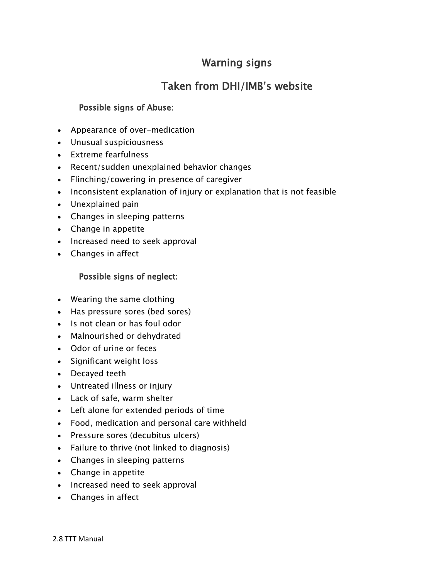# Warning signs

# Taken from DHI/IMB's website

# Possible signs of Abuse:

- Appearance of over-medication
- Unusual suspiciousness
- Extreme fearfulness
- Recent/sudden unexplained behavior changes
- Flinching/cowering in presence of caregiver
- Inconsistent explanation of injury or explanation that is not feasible
- Unexplained pain
- Changes in sleeping patterns
- Change in appetite
- Increased need to seek approval
- Changes in affect

#### Possible signs of neglect:

- Wearing the same clothing
- Has pressure sores (bed sores)
- Is not clean or has foul odor
- Malnourished or dehydrated
- Odor of urine or feces
- Significant weight loss
- Decayed teeth
- Untreated illness or injury
- Lack of safe, warm shelter
- Left alone for extended periods of time
- Food, medication and personal care withheld
- Pressure sores (decubitus ulcers)
- Failure to thrive (not linked to diagnosis)
- Changes in sleeping patterns
- Change in appetite
- Increased need to seek approval
- Changes in affect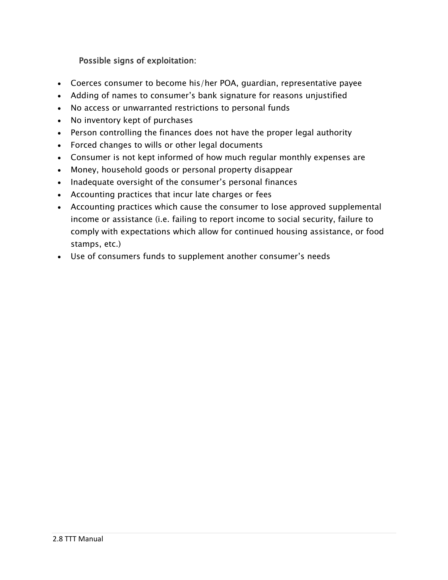# Possible signs of exploitation:

- Coerces consumer to become his/her POA, guardian, representative payee
- Adding of names to consumer's bank signature for reasons unjustified
- No access or unwarranted restrictions to personal funds
- No inventory kept of purchases
- Person controlling the finances does not have the proper legal authority
- Forced changes to wills or other legal documents
- Consumer is not kept informed of how much regular monthly expenses are
- Money, household goods or personal property disappear
- Inadequate oversight of the consumer's personal finances
- Accounting practices that incur late charges or fees
- Accounting practices which cause the consumer to lose approved supplemental income or assistance (i.e. failing to report income to social security, failure to comply with expectations which allow for continued housing assistance, or food stamps, etc.)
- Use of consumers funds to supplement another consumer's needs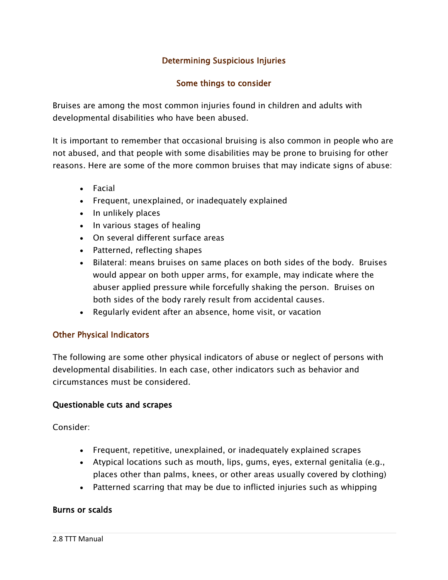# Determining Suspicious Injuries

## Some things to consider

Bruises are among the most common injuries found in children and adults with developmental disabilities who have been abused.

It is important to remember that occasional bruising is also common in people who are not abused, and that people with some disabilities may be prone to bruising for other reasons. Here are some of the more common bruises that may indicate signs of abuse:

- Facial
- Frequent, unexplained, or inadequately explained
- In unlikely places
- In various stages of healing
- On several different surface areas
- Patterned, reflecting shapes
- Bilateral: means bruises on same places on both sides of the body. Bruises would appear on both upper arms, for example, may indicate where the abuser applied pressure while forcefully shaking the person. Bruises on both sides of the body rarely result from accidental causes.
- Regularly evident after an absence, home visit, or vacation

## Other Physical Indicators

The following are some other physical indicators of abuse or neglect of persons with developmental disabilities. In each case, other indicators such as behavior and circumstances must be considered.

#### Questionable cuts and scrapes

Consider:

- Frequent, repetitive, unexplained, or inadequately explained scrapes
- Atypical locations such as mouth, lips, gums, eyes, external genitalia (e.g., places other than palms, knees, or other areas usually covered by clothing)
- Patterned scarring that may be due to inflicted injuries such as whipping

#### Burns or scalds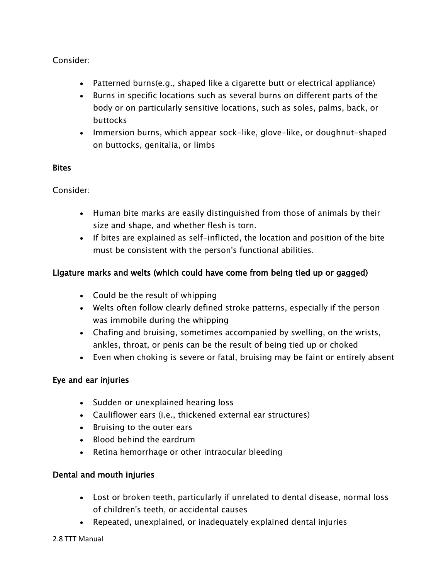# Consider:

- Patterned burns(e.g., shaped like a cigarette butt or electrical appliance)
- Burns in specific locations such as several burns on different parts of the body or on particularly sensitive locations, such as soles, palms, back, or buttocks
- Immersion burns, which appear sock-like, glove-like, or doughnut-shaped on buttocks, genitalia, or limbs

#### **Bites**

Consider:

- Human bite marks are easily distinguished from those of animals by their size and shape, and whether flesh is torn.
- If bites are explained as self-inflicted, the location and position of the bite must be consistent with the person's functional abilities.

# Ligature marks and welts (which could have come from being tied up or gagged)

- Could be the result of whipping
- Welts often follow clearly defined stroke patterns, especially if the person was immobile during the whipping
- Chafing and bruising, sometimes accompanied by swelling, on the wrists, ankles, throat, or penis can be the result of being tied up or choked
- Even when choking is severe or fatal, bruising may be faint or entirely absent

## Eye and ear injuries

- Sudden or unexplained hearing loss
- Cauliflower ears (i.e., thickened external ear structures)
- Bruising to the outer ears
- Blood behind the eardrum
- Retina hemorrhage or other intraocular bleeding

## Dental and mouth injuries

- Lost or broken teeth, particularly if unrelated to dental disease, normal loss of children's teeth, or accidental causes
- Repeated, unexplained, or inadequately explained dental injuries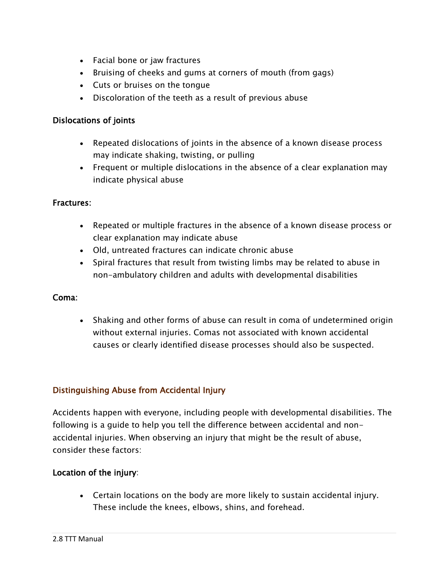- Facial bone or jaw fractures
- Bruising of cheeks and gums at corners of mouth (from gags)
- Cuts or bruises on the tongue
- Discoloration of the teeth as a result of previous abuse

#### Dislocations of joints

- Repeated dislocations of joints in the absence of a known disease process may indicate shaking, twisting, or pulling
- Frequent or multiple dislocations in the absence of a clear explanation may indicate physical abuse

#### Fractures:

- Repeated or multiple fractures in the absence of a known disease process or clear explanation may indicate abuse
- Old, untreated fractures can indicate chronic abuse
- Spiral fractures that result from twisting limbs may be related to abuse in non-ambulatory children and adults with developmental disabilities

#### Coma:

 Shaking and other forms of abuse can result in coma of undetermined origin without external injuries. Comas not associated with known accidental causes or clearly identified disease processes should also be suspected.

## Distinguishing Abuse from Accidental Injury

Accidents happen with everyone, including people with developmental disabilities. The following is a guide to help you tell the difference between accidental and nonaccidental injuries. When observing an injury that might be the result of abuse, consider these factors:

## Location of the injury:

 Certain locations on the body are more likely to sustain accidental injury. These include the knees, elbows, shins, and forehead.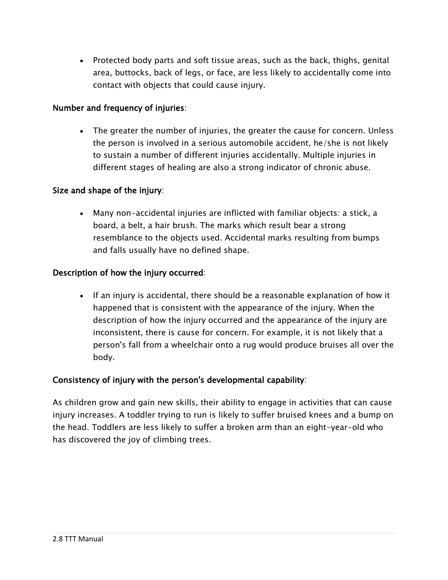• Protected body parts and soft tissue areas, such as the back, thighs, genital area, buttocks, back of legs, or face, are less likely to accidentally come into contact with objects that could cause injury.

#### Number and frequency of injuries:

• The greater the number of injuries, the greater the cause for concern. Unless the person is involved in a serious automobile accident, he/she is not likely to sustain a number of different injuries accidentally. Multiple injuries in different stages of healing are also a strong indicator of chronic abuse.

#### Size and shape of the injury:

 Many non-accidental injuries are inflicted with familiar objects: a stick, a board, a belt, a hair brush. The marks which result bear a strong resemblance to the objects used. Accidental marks resulting from bumps and falls usually have no defined shape.

#### Description of how the injury occurred:

 If an injury is accidental, there should be a reasonable explanation of how it happened that is consistent with the appearance of the injury. When the description of how the injury occurred and the appearance of the injury are inconsistent, there is cause for concern. For example, it is not likely that a person's fall from a wheelchair onto a rug would produce bruises all over the body.

#### Consistency of injury with the person's developmental capability:

As children grow and gain new skills, their ability to engage in activities that can cause injury increases. A toddler trying to run is likely to suffer bruised knees and a bump on the head. Toddlers are less likely to suffer a broken arm than an eight-year-old who has discovered the joy of climbing trees.